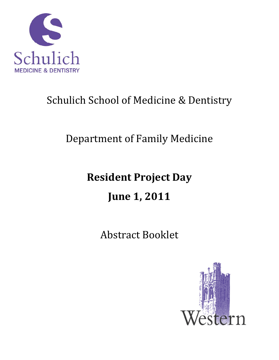

# Schulich School of Medicine & Dentistry

# Department of Family Medicine

# **Resident Project Day**

# **June 1, 2011**

Abstract Booklet

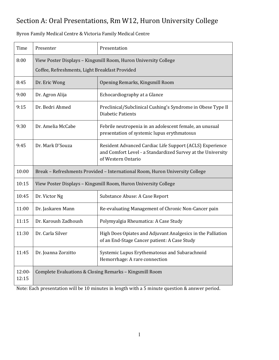## Section A: Oral Presentations, Rm W12, Huron University College

Time Presenter Presentation 8:00 View Poster Displays – Kingsmill Room, Huron University College Coffee, Refreshments, Light Breakfast Provided 8:45 | Dr. Eric Wong | Opening Remarks, Kingsmill Room 9:00 | Dr. Agron Alija | Echocardiography at a Glance 9:15 | Dr. Bedri Ahmed | Preclinical/Subclinical Cushing's Syndrome in Obese Type II Diabetic Patients 9:30 Dr. Amelia McCabe Febrile neutropenia in an adolescent female, an unusual presentation of systemic lupus erythmatosus 9:45 Dr. Mark D'Souza Resident Advanced Cardiac Life Support (ACLS) Experience and Comfort Level ‐ a Standardized Survey at the University of Western Ontario 10:00 Break – Refreshments Provided – International Room, Huron University College 10:15 View Poster Displays – Kingsmill Room, Huron University College 10:45 | Dr. Victor Ng | Substance Abuse: A Case Report 11:00 | Dr. Jaskaren Mann Re-evaluating Management of Chronic Non-Cancer pain 11:15 Dr. Karoush Zadhoush Polymyalgia Rheumatica: A Case Study 11:30 Dr. Carla Silver | High Does Opiates and Adjuvant Analgesics in the Palliation of an End‐Stage Cancer patient: A Case Study 11:45 | Dr. Joanna Zorzitto | Systemic Lupus Erythematosus and Subarachnoid Hemorrhage: A rare connection 12:00‐ 12:15 Complete Evaluations & Closing Remarks – Kingsmill Room

Byron Family Medical Centre & Victoria Family Medical Centre

Note: Each presentation will be 10 minutes in length with a 5 minute question & answer period.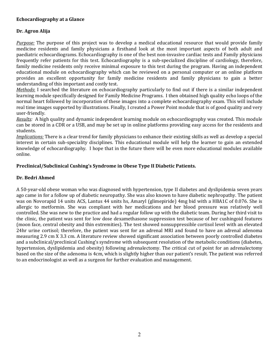#### **Echocardiography at a Glance**

#### **Dr. Agron Alija**

*Purpose:* The purpose of this project was to develop a medical educational resource that would provide family medicine residents and family physicians a firsthand look at the most important aspects of both adult and paediatric echocardiograms. Echocardiography is one of the best non‐invasive cardiac tests and Family physicians frequently refer patients for this test. Echocardiography is a sub‐specialized discipline of cardiology, therefore, family medicine residents only receive minimal exposure to this test during the program. Having an independent educational module on echocardiography which can be reviewed on a personal computer or an online platform provides an excellent opportunity for family medicine residents and family physicians to gain a better understanding of this important and costly test.

*Methods*: I searched the literature on echocardiography particularly to find out if there is a similar independent learning module specifically designed for Family Medicine Programs. I then obtained high quality echo loops of the normal heart followed by incorporation of these images into a complete echocardiography exam. This will include real time images supported by illustrations. Finally, I created a Power Point module that is of good quality and very user‐friendly.

*Results:* A high quality and dynamic independent learning module on echocardiography was created. This module can be stored in a CDR or a USB, and may be set up in online platforms providing easy access for the residents and students.

*Implications:* There is a clear trend for family physicians to enhance their existing skills as well as develop a special interest in certain sub-speciality disciplines. This educational module will help the learner to gain an extended knowledge of echocardiography. I hope that in the future there will be even more educational modules available online.

#### **Preclinical/Subclinical Cushing's Syndrome in Obese Type II Diabetic Patients.**

#### **Dr. Bedri Ahmed**

A 50‐year‐old obese woman who was diagnosed with hypertension, type II diabetes and dyslipidemia seven years ago came in for a follow up of diabetic neuropathy. She was also known to have diabetic nephropathy. The patient was on Novorapid 14 units ACS, Lantus 44 units hs, Amaryl (glimepiride) 4mg bid with a HBA1C of 0.076. She is allergic to metformin. She was compliant with her medications and her blood pressure was relatively well controlled. She was new to the practice and had a regular follow up with the diabetic team. During her third visit to the clinic, the patient was sent for low dose dexamethasone suppression test because of her cushingoid features (moon face, central obesity and thin extremities). The test showed nonsuppressible cortisol level with an elevated 24hr urine cortisol; therefore, the patient was sent for an adrenal MRI and found to have an adrenal adenoma measuring 2.9 cm X 3.3 cm. A literature review showed significant association between poorly controlled diabetes and a subclinical/preclinical Cushing's syndrome with subsequent resolution of the metabolic conditions (diabetes, hypertension, dyslipidemia and obesity) following adrenalectomy. The critical cut of point for an adrenalectomy based on the size of the adenoma is 4cm, which is slightly higher than our patient's result. The patient was referred to an endocrinologist as well as a surgeon for further evaluation and management.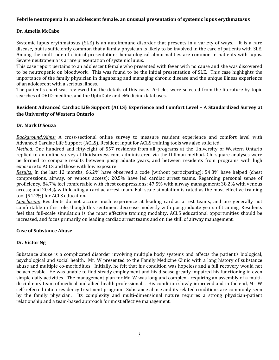#### **Febrile neutropenia in an adolescent female, an unusual presentation of systemic lupus erythmatosus**

#### **Dr. Amelia McCabe**

Systemic lupus erythmatosus (SLE) is an autoimmune disorder that presents in a variety of ways. It is a rare disease, but is sufficiently common that a family physician is likely to be involved in the care of patients with SLE. Among the multitude of clinical presentations hematological abnormalities are common in patients with lupus. Severe neutropenia is a rare presentation of systemic lupus.

This case report pertains to an adolescent female who presented with fever with no cause and she was discovered to be neutropenic on bloodwork. This was found to be the initial presentation of SLE. This case highlights the importance of the family physician in diagnosing and managing chronic disease and the unique illness experience of an adolescent with a serious illness.

The patient's chart was reviewed for the details of this case. Articles were selected from the literature by topic searches of OVID‐medline, and the UptoDate and eMedicine databases.

#### **Resident Advanced Cardiac Life Support (ACLS) Experience and Comfort Level – A Standardized Survey at the University of Western Ontario**

#### **Dr. Mark D'Souza**

*Background/Aims:* A cross-sectional online survey to measure resident experience and comfort level with Advanced Cardiac Life Support (ACLS). Resident input for ACLS training tools was also solicited.

*Method:* One hundred and fifty-eight of 557 residents from all programs at the University of Western Ontario replied to an online survey at fluidsurveys.com, administered via the Dillman method. Chi‐square analyses were performed to compare results between postgraduate years, and between residents from programs with high exposure to ACLS and those with low exposure.

*Results:* In the last 12 months, 66.2% have observed a code (without participating); 54.8% have helped (chest compressions, airway, or venous access); 20.5% have led cardiac arrest teams. Regarding personal sense of proficiency, 84.7% feel comfortable with chest compressions; 47.5% with airway management; 38.2% with venous access; and 20.4% with leading a cardiac arrest team. Full‐scale simulation is rated as the most effective training tool (94.2%) for ACLS education.

*Conclusion:* Residents do not accrue much experience at leading cardiac arrest teams, and are generally not comfortable in this role, though this sentiment decrease modestly with postgraduate years of training. Residents feel that full-scale simulation is the most effective training modality. ACLS educational opportunities should be increased, and focus primarily on leading cardiac arrest teams and on the skill of airway management.

#### **Case of Substance Abuse**

#### **Dr. Victor Ng**

Substance abuse is a complicated disorder involving multiple body systems and affects the patient's biological, psychological and social health. Mr. W presented to the Family Medicine Clinic with a long history of substance abuse and multiple co‐morbidities. Initially, he felt that his condition was hopeless and a full recovery would not be achievable. He was unable to find steady employment and his disease greatly impaired his functioning in even simple daily activities. The management plan for Mr. W was long and complex - requiring an assembly of a multidisciplinary team of medical and allied health professionals. His condition slowly improved and in the end, Mr. W self-referred into a residency treatment program. Substance abuse and its related conditions are commonly seen by the family physician. Its complexity and multi-dimensional nature requires a strong physician-patient relationship and a team‐based approach for most effective management.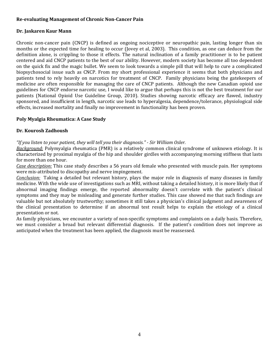#### **Re‐evaluating Management of Chronic Non‐Cancer Pain**

#### **Dr. Jaskaren Kaur Mann**

Chronic non-cancer pain (CNCP) is defined as ongoing nociceptive or neuropathic pain, lasting longer than six months or the expected time for healing to occur (Jovey et al, 2003). This condition, as one can deduce from the definition alone, is crippling to those it effects. The natural inclination of a family practitioner is to be patient centered and aid CNCP patients to the best of our ability. However, modern society has become all too dependent on the quick fix and the magic bullet. We seem to look towards a simple pill that will help to cure a complicated biopsychosocial issue such as CNCP. From my short professional experience it seems that both physicians and patients tend to rely heavily on narcotics for treatment of CNCP. Family physicians being the gatekeepers of medicine are often responsible for managing the care of CNCP patients. Although the new Canadian opioid use guidelines for CNCP endorse narcotic use, I would like to argue that perhaps this is not the best treatment for our patients (National Opioid Use Guideline Group, 2010). Studies showing narcotic efficacy are flawed, industry sponsored, and insufficient in length, narcotic use leads to hyperalgesia, dependence/tolerance, physiological side effects, increased mortality and finally no improvement in functionality has been proven.

#### **Poly Myalgia Rheumatica: A Case Study**

#### **Dr. Kourosh Zadhoush**

*"If you listen to your patient, they will tell you their diagnosis." ‐ Sir William Osler.*

*Background:* Polymyalgia rheumatica (PMR) is a relatively common clinical syndrome of unknown etiology. It is characterized by proximal myalgia of the hip and shoulder girdles with accompanying morning stiffness that lasts for more than one hour.

*Case description:* This case study describes a 56 years old female who presented with muscle pain. Her symptoms were mis-attributed to discopathy and nerve impingement.

*Conclusion:* Taking a detailed but relevant history, plays the major role in diagnosis of many diseases in family medicine. With the wide use of investigations such as MRI, without taking a detailed history, it is more likely that if abnormal imaging findings emerge, the reported abnormality doesn't correlate with the patient's clinical symptoms and they may be misleading and generate further studies. This case showed me that such findings are valuable but not absolutely trustworthy; sometimes it still takes a physician's clinical judgment and awareness of the clinical presentation to determine if an abnormal test result helps to explain the etiology of a clinical presentation or not.

As family physicians, we encounter a variety of non‐specific symptoms and complaints on a daily basis. Therefore, we must consider a broad but relevant differential diagnosis. If the patient's condition does not improve as anticipated when the treatment has been applied, the diagnosis must be reassessed.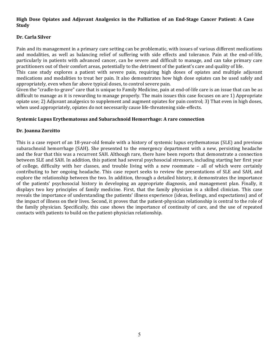#### **High Dose Opiates and Adjuvant Analgesics in the Palliation of an End‐Stage Cancer Patient: A Case Study**

#### **Dr. Carla Silver**

Pain and its management in a primary care setting can be problematic, with issues of various different medications and modalities, as well as balancing relief of suffering with side effects and tolerance. Pain at the end-of-life, particularly in patients with advanced cancer, can be severe and difficult to manage, and can take primary care practitioners out of their comfort areas, potentially to the detriment of the patient's care and quality of life.

This case study explores a patient with severe pain, requiring high doses of opiates and multiple adjuvant medications and modalities to treat her pain. It also demonstrates how high dose opiates can be used safely and appropriately, even when far above typical doses, to control severe pain.

Given the "cradle-to-grave" care that is unique to Family Medicine, pain at end-of-life care is an issue that can be as difficult to manage as it is rewarding to manage properly. The main issues this case focuses on are 1) Appropriate opiate use; 2) Adjuvant analgesics to supplement and augment opiates for pain control; 3) That even in high doses, when used appropriately, opiates do not necessarily cause life-threatening side-effects.

#### **Systemic Lupus Erythematosus and Subarachnoid Hemorrhage: A rare connection**

#### **Dr. Joanna Zorzitto**

This is a case report of an 18‐year‐old female with a history of systemic lupus erythematosus (SLE) and previous subarachnoid hemorrhage (SAH). She presented to the emergency department with a new, persisting headache and the fear that this was a recurrent SAH. Although rare, there have been reports that demonstrate a connection between SLE and SAH. In addition, this patient had several psychosocial stressors, including starting her first year of college, difficulty with her classes, and trouble living with a new roommate – all of which were certainly contributing to her ongoing headache. This case report seeks to review the presentations of SLE and SAH, and explore the relationship between the two. In addition, through a detailed history, it demonstrates the importance of the patients' psychosocial history in developing an appropriate diagnosis, and management plan. Finally, it displays two key principles of family medicine. First, that the family physician is a skilled clinician. This case reveals the importance of understanding the patients' illness experience (ideas, feelings, and expectations) and of the impact of illness on their lives. Second, it proves that the patient‐physician relationship is central to the role of the family physician. Specifically, this case shows the importance of continuity of care, and the use of repeated contacts with patients to build on the patient‐physician relationship.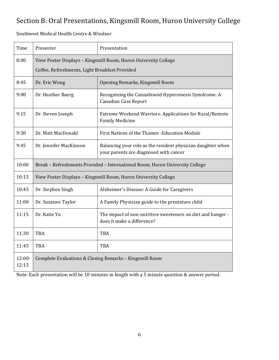## Section B: Oral Presentations, Kingsmill Room, Huron University College

Southwest Medical Health Centre & Windsor

| Time              | Presenter                                                                                                         | Presentation                                                                                          |
|-------------------|-------------------------------------------------------------------------------------------------------------------|-------------------------------------------------------------------------------------------------------|
| 8:00              | View Poster Displays - Kingsmill Room, Huron University College<br>Coffee, Refreshments, Light Breakfast Provided |                                                                                                       |
| 8:45              | Dr. Eric Wong                                                                                                     | Opening Remarks, Kingsmill Room                                                                       |
| 9:00              | Dr. Heather Baerg                                                                                                 | Recognizing the Cannabinoid Hyperemesis Symdrome: A<br><b>Canadian Case Report</b>                    |
| 9:15              | Dr. Steven Joseph                                                                                                 | Extreme Weekend Warriors: Applications for Rural/Remote<br><b>Family Medicine</b>                     |
| 9:30              | Dr. Matt MacDonald                                                                                                | First Nations of the Thames - Education Module                                                        |
| 9:45              | Dr. Jennifer MacKinnon                                                                                            | Balancing your role as the resident physician daughter when<br>your parents are diagnosed with cancer |
| 10:00             | Break - Refreshments Provided - International Room, Huron University College                                      |                                                                                                       |
| 10:15             | View Poster Displays - Kingsmill Room, Huron University College                                                   |                                                                                                       |
| 10:45             | Dr. Stephen Singh                                                                                                 | Alzheimer's Disease: A Guide for Caregivers                                                           |
| 11:00             | Dr. Suzanne Taylor                                                                                                | A Family Physician guide to the premature child                                                       |
| 11:15             | Dr. Katie Yu                                                                                                      | The impact of non-nutritive sweeteners on diet and hunger -<br>does it make a difference?             |
| 11:30             | <b>TBA</b>                                                                                                        | <b>TBA</b>                                                                                            |
| 11:45             | <b>TBA</b>                                                                                                        | <b>TBA</b>                                                                                            |
| $12:00-$<br>12:15 |                                                                                                                   | Complete Evaluations & Closing Remarks - Kingsmill Room                                               |

Note: Each presentation will be 10 minutes in length with a 5 minute question & answer period.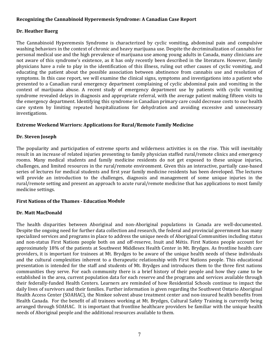#### **Recognizing the Cannabinoid Hyperemesis Syndrome: A Canadian Case Report**

#### **Dr. Heather Baerg**

The Cannabinoid Hyperemesis Syndrome is characterized by cyclic vomiting, abdominal pain and compulsive washing behaviors in the context of chronic and heavy marijuana use. Despite the decriminalization of cannabis for personal medical use and the high prevalence of marijuana use among young adults in Canada, many clinicians are not aware of this syndrome's existence, as it has only recently been described in the literature. However, family physicians have a role to play in the identification of this illness, ruling out other causes of cyclic vomiting, and educating the patient about the possible association between abstinence from cannabis use and resolution of symptoms. In this case report, we will examine the clinical signs, symptoms and investigations into a patient who presented to a Canadian rural emergency department complaining of cyclic abdominal pain and vomiting in the context of marijuana abuse. A recent study of emergency department use by patients with cyclic vomiting syndrome revealed delays in diagnosis and appropriate referral, with the average patient making fifteen visits to the emergency department. Identifying this syndrome in Canadian primary care could decrease costs to our health care system by limiting repeated hospitalizations for dehydration and avoiding excessive and unnecessary investigations.

#### **Extreme Weekend Warriors: Applications for Rural/Remote Family Medicine**

#### **Dr. Steven Joseph**

The popularity and participation of extreme sports and wilderness activities is on the rise. This will inevitably result in an increase of related injuries presenting to family physician staffed rural/remote clinics and emergency rooms. Many medical students and family medicine residents do not get exposed to these unique injuries, challenges, and limited resources in the rural/remote environment. Given this an interactive, partially case‐based series of lectures for medical students and first year family medicine residents has been developed. The lectures will provide an introduction to the challenges, diagnosis and management of some unique injuries in the rural/remote setting and present an approach to acute rural/remote medicine that has applications to most family medicine settings.

#### **First Nations of the Thames ‐ Education Module**

#### **Dr. Matt MacDonald**

The health disparities between Aboriginal and non-Aboriginal populations in Canada are well-documented. Despite the ongoing need for further data collection and research, the federal and provincial government has many specialized services and programs in place to address the unique needs of Aboriginal Communities including status and non-status First Nations people both on and off-reserve, Inuit and Métis. First Nations people account for approximately 18% of the patients at Southwest Middlesex Health Center in Mt. Brydges. As frontline health care providers, it is important for trainees at Mt. Brydges to be aware of the unique health needs of these individuals and the cultural complexities inherent to a therapeutic relationship with First Nations people. This educational presentation is intended for the staff and students of Mt. Brydges and introduces them to the three first nations communities they serve. For each community there is a brief history of their people and how they came to be established in the area, current population data for each reserve and the programs and services available through their federally‐funded Health Centers. Learners are reminded of how Residential Schools continue to impact the daily lives of survivors and their families. Further information is given regarding the Southwest Ontario Aboriginal Health Access Center (SOAHAC), the Nimkee solvent abuse treatment center and non-insured health benefits from Health Canada. For the benefit of all trainees working at Mt. Brydges, Cultural Safety Training is currently being arranged through SOAHAC. It is important that frontline healthcare providers be familiar with the unique health needs of Aboriginal people and the additional resources available to them.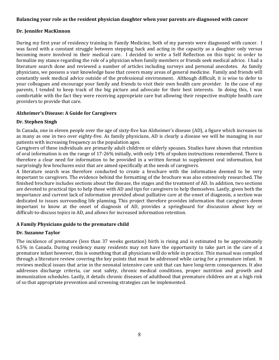#### **Balancing your role as the resident physician daughter when your parents are diagnosed with cancer**

#### **Dr. Jennifer MacKinnon**

During my first year of residency training in Family Medicine, both of my parents were diagnosed with cancer. I was faced with a constant struggle between stepping back and acting in the capacity as a daughter only versus becoming more involved in their medical care. I decided to write a Self Reflection on this topic in order to formalize my stance regarding the role of a physician when family members or friends seek medical advice. I had a literature search done and reviewed a number of articles including surveys and personal anecdotes. As family physicians, we possess a vast knowledge base that covers many areas of general medicine. Family and friends will constantly seek medical advice outside of the professional environment. Although difficult, it is wise to defer to your colleagues and encourage your family and friends to visit their own health care provider. In the case of my parents, I tended to keep track of the big picture and advocate for their best interests. In doing this, I was comfortable with the fact they were receiving appropriate care but allowing their respective multiple health care providers to provide that care.

#### **Alzheimer's Disease: A Guide for Caregivers**

#### **Dr. Stephen Singh**

In Canada, one in eleven people over the age of sixty-five has Alzheimer's disease (AD), a figure which increases to as many as one in two over eighty‐five. As family physicians, AD is clearly a disease we will be managing in our patients with increasing frequency as the population ages.

Caregivers of these individuals are primarily adult children or elderly spouses. Studies have shown that retention of oral information is on the range of 17‐26% initially, with only 14% of spoken instructions remembered. There is therefore a clear need for information to be provided in a written format to supplement oral information, but surprisingly few brochures exist that are aimed specifically at the needs of caregivers.

A literature search was therefore conducted to create a brochure with the information deemed to be very important to caregivers. The evidence behind the formatting of the brochure was also extensively researched. The finished brochure includes sections about the disease, the stages and the treatment of AD. In addition, two sections are devoted to practical tips to help those with AD and tips for caregivers to help themselves. Lastly, given both the importance and current lack of information provided about palliative care at the onset of diagnosis, a section was dedicated to issues surrounding life planning. This project therefore provides information that caregivers deem important to know at the onset of diagnosis of AD, provides a springboard for discussion about key or difficult-to-discuss topics in AD, and allows for increased information retention.

#### **A Family Physicians guide to the premature child**

#### **Dr. Suzanne Taylor**

The incidence of premature (less than 37 weeks gestation) birth is rising and is estimated to be approximately 6.5% in Canada. During residency many residents may not have the opportunity to take part in the care of a premature infant however, this is something that all physicians will do while in practice. This manual was compiled through a literature review covering the key points that must be addressed while caring for a premature infant. It reviews medical issues that arise in the neonatal intensive care unit that can have long-term consequences. It also addresses discharge criteria, car seat safety, chronic medical conditions, proper nutrition and growth and immunization schedules. Lastly, it details chronic diseases of adulthood that premature children are at a high risk of so that appropriate prevention and screening strategies can be implemented.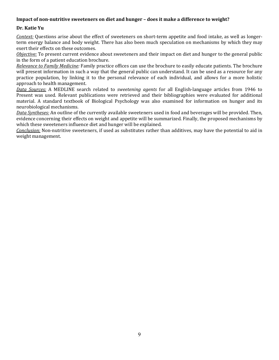#### **Impact of non‐nutritive sweeteners on diet and hunger – does it make a difference to weight?**

#### **Dr. Katie Yu**

*Context:* Questions arise about the effect of sweeteners on short-term appetite and food intake, as well as longerterm energy balance and body weight. There has also been much speculation on mechanisms by which they may exert their effects on these outcomes.

*Objective:* To present current evidence about sweeteners and their impact on diet and hunger to the general public in the form of a patient education brochure.

*Relevance to Family Medicine:* Family practice offices can use the brochure to easily educate patients. The brochure will present information in such a way that the general public can understand. It can be used as a resource for any practice population, by linking it to the personal relevance of each individual, and allows for a more holistic approach to health management.

*Data Sources:* A MEDLINE search related to *sweetening agents* for all English‐language articles from 1946 to Present was used. Relevant publications were retrieved and their bibliographies were evaluated for additional material. A standard textbook of Biological Psychology was also examined for information on hunger and its neurobiological mechanisms.

*Data Syntheses:* An outline of the currently available sweeteners used in food and beverages will be provided. Then, evidence concerning their effects on weight and appetite will be summarized. Finally, the proposed mechanisms by which these sweeteners influence diet and hunger will be explained.

*Conclusion:* Non‐nutritive sweeteners, if used as substitutes rather than additives, may have the potential to aid in weight management.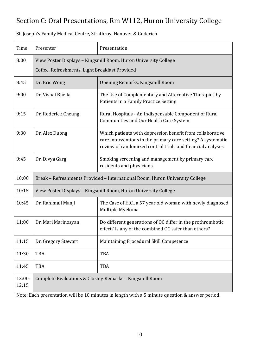# Section C: Oral Presentations, Rm W112, Huron University College

| St. Joseph's Family Medical Centre, Strathroy, Hanover & Goderich |  |
|-------------------------------------------------------------------|--|
|-------------------------------------------------------------------|--|

| Time            | Presenter                                                                                                         | Presentation                                                                                                                                                                            |
|-----------------|-------------------------------------------------------------------------------------------------------------------|-----------------------------------------------------------------------------------------------------------------------------------------------------------------------------------------|
| 8:00            | View Poster Displays - Kingsmill Room, Huron University College<br>Coffee, Refreshments, Light Breakfast Provided |                                                                                                                                                                                         |
| 8:45            | Dr. Eric Wong                                                                                                     | Opening Remarks, Kingsmill Room                                                                                                                                                         |
| 9:00            | Dr. Vishal Bhella                                                                                                 | The Use of Complementary and Alternative Therapies by<br>Patients in a Family Practice Setting                                                                                          |
| 9:15            | Dr. Roderick Cheung                                                                                               | Rural Hospitals - An Indispensable Component of Rural<br>Communities and Our Health Care System                                                                                         |
| 9:30            | Dr. Alex Duong                                                                                                    | Which patients with depression benefit from collaborative<br>care interventions in the primary care setting? A systematic<br>review of randomized control trials and financial analyses |
| 9:45            | Dr. Divya Garg                                                                                                    | Smoking screening and management by primary care<br>residents and physicians                                                                                                            |
| 10:00           | Break - Refreshments Provided - International Room, Huron University College                                      |                                                                                                                                                                                         |
| 10:15           | View Poster Displays - Kingsmill Room, Huron University College                                                   |                                                                                                                                                                                         |
| 10:45           | Dr. Rahimali Manji                                                                                                | The Case of H.C., a 57 year old woman with newly diagnosed<br>Multiple Myeloma                                                                                                          |
| 11:00           | Dr. Mari Marinosyan                                                                                               | Do different generations of OC differ in the prothrombotic<br>effect? Is any of the combined OC safer than others?                                                                      |
| 11:15           | Dr. Gregory Stewart                                                                                               | Maintaining Procedural Skill Competence                                                                                                                                                 |
| 11:30           | <b>TBA</b>                                                                                                        | TBA                                                                                                                                                                                     |
| 11:45           | TBA                                                                                                               | TBA                                                                                                                                                                                     |
| 12:00-<br>12:15 |                                                                                                                   | Complete Evaluations & Closing Remarks - Kingsmill Room                                                                                                                                 |

Note: Each presentation will be 10 minutes in length with a 5 minute question & answer period.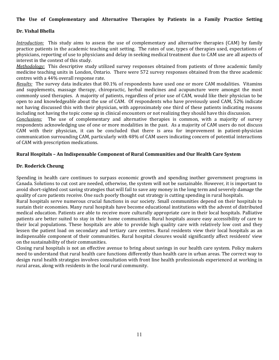#### **The Use of Complementary and Alternative Therapies by Patients in a Family Practice Setting**

#### **Dr. Vishal Bhella**

*Introduction:* This study aims to assess the use of complementary and alternative therapies (CAM) by family practice patients in the academic teaching unit setting. The rates of use, types of therapies used, expectations of physicians, reporting of use to physicians and delay in seeking medical treatment due to CAM use are all aspects of interest in the context of this study.

*Methodology:* This descriptive study utilized survey responses obtained from patients of three academic family medicine teaching units in London, Ontario. There were 572 survey responses obtained from the three academic centres with a 44% overall response rate.

*Results:* The survey data indicates that 80.1% of respondents have used one or more CAM modalities. Vitamins and supplements, massage therapy, chiropractic, herbal medicines and acupuncture were amongst the most commonly used therapies. A majority of patients, regardless of prior use of CAM, would like their physician to be open to and knowledgeable about the use of CAM. Of respondents who have previously used CAM, 52% indicate not having discussed this with their physician, with approximately one third of these patients indicating reasons including not having the topic come up in clinical encounters or not realizing they should have this discussion.

*Conclusions:* The use of complementary and alternative therapies is common, with a majority of survey respondents acknowledging use of one or more modalities in the past. As a majority of CAM users do not discuss CAM with their physician, it can be concluded that there is area for improvement in patient‐physician communication surrounding CAM, particularly with 48% of CAM users indicating concern of potential interactions of CAM with prescription medications.

#### **Rural Hospitals – An Indispensable Component of Rural Communities and Our Health Care System**

#### **Dr. Roderick Cheung**

Spending in health care continues to surpass economic growth and spending inother government programs in Canada. Solutions to cut cost are needed, otherwise, the system will not be sustainable. However, it is important to avoid short-sighted cost saving strategies that will fail to save any money in the long term and severely damage the quality of care patients receive. One such poorly thought out strategy is cutting spending in rural hospitals.

Rural hospitals serve numerous crucial functions in our society. Small communities depend on their hospitals to sustain their economies. Many rural hospitals have become educational institutions with the advent of distributed medical education. Patients are able to receive more culturally appropriate care in their local hospitals. Palliative patients are better suited to stay in their home communities. Rural hospitals assure easy accessibility of care to their local populations. These hospitals are able to provide high quality care with relatively low cost and they lessen the patient load on secondary and tertiary care centres. Rural residents view their local hospitals as an indispensable component of their communities. Rural hospital closures would significantly affect residents' view on the sustainability of their communities.

Closing rural hospitals is not an effective avenue to bring about savings in our health care system. Policy makers need to understand that rural health care functions differently than health care in urban areas. The correct way to design rural health strategies involves consultation with front line health professionals experienced at working in rural areas, along with residents in the local rural community.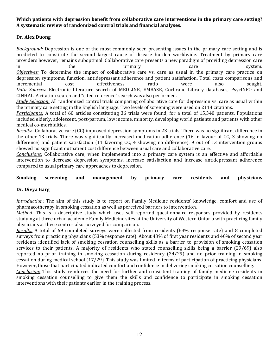#### **Which patients with depression benefit from collaborative care interventions in the primary care setting? A systematic review of randomized control trials and financial analyses.**

#### **Dr. Alex Duong**

*Background:* Depression is one of the most commonly seen presenting issues in the primary care setting and is predicted to constitute the second largest cause of disease burden worldwide. Treatment by primary care providers however, remains suboptimal. Collaborative care presents a new paradigm of providing depression care in the the primary care care system. *Objectives:* To determine the impact of collaborative care vs. care as usual in the primary care practice on depression symptoms, function, antidepressant adherence and patient satisfaction. Total costs comparisons and incremental cost effectiveness ratio were also sought. *Data Sources:* Electronic literature search of MEDLINE, EMBASE, Cochrane Library databases, PsycINFO and CINHAL. A citation search and "cited reference" search was also performed.

*Study Selection:* All randomized control trials comparing collaborative care for depression vs. care as usual within the primary care setting in the English language. Two levels of screening were used on 2114 citations.

*Participants:* A total of 60 articles constituting 36 trials were found, for a total of 15,340 patients. Populations included elderly, adolescent, post-partum, low income, minority, developing world patients and patients with other medical co-morbidities.

*Results***:** Collaborative care (CC) improved depression symptoms in 23 trials. There was no significant difference in the other 13 trials. There was significantly increased medication adherence (16 in favour of CC, 3 showing no difference) and patient satisfaction (11 favoring CC, 4 showing no difference). 9 out of 13 intervention groups showed no significant outpatient cost difference between usual care and collaborative care.

*Conclusions:* Collaborative care, when implemented into a primary care system is an effective and affordable intervention to decrease depression symptoms, increase satisfaction and increase antidepressant adherence compared to usual primary care approaches to depression.

#### **Smoking screening and management by primary care residents and physicians**

#### **Dr. Divya Garg**

*Introduction:* The aim of this study is to report on Family Medicine residents' knowledge, comfort and use of pharmacotherapy in smoking cessation as well as perceived barriers to intervention.

*Method:* This is a descriptive study which uses self-reported questionnaire responses provided by residents studying at three urban academic Family Medicine sites at the University of Western Ontario with practicing family physicians at these centres also surveyed for comparison.

*Results:* A total of 69 completed surveys were collected from residents (63% response rate) and 8 completed surveys from practicing physicians (53% response rate). About 43% of first year residents and 40% of second year residents identified lack of smoking cessation counselling skills as a barrier to provision of smoking cessation services to their patients. A majority of residents who stated counselling skills being a barrier (29/69) also reported no prior training in smoking cessation during residency (24/29) and no prior training in smoking cessation during medical school (17/29). This study was limited in terms of participation of practicing physicians. However, those that participated indicated comfort and confidence in delivering smoking cessation counselling.

*Conclusion:* This study reinforces the need for further and consistent training of family medicine residents in smoking cessation counselling to give them the skills and confidence to participate in smoking cessation interventions with their patients earlier in the training process.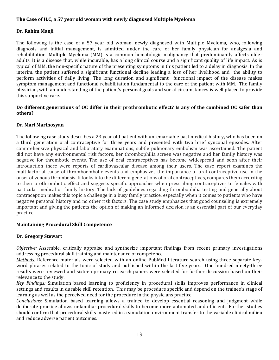#### **The Case of H.C, a 57 year old woman with newly diagnosed Multiple Myeloma**

#### **Dr. Rahim Manji**

The following is the case of a 57 year old woman, newly diagnosed with Multiple Myeloma, who, following diagnosis and initial management, is admitted under the care of her family physician for analgesia and rehabilitation. Multiple Myeloma (MM) is a common hematologic malignancy that predominantly affects older adults. It is a disease that, while incurable, has a long clinical course and a significant quality of life impact. As is typical of MM, the non‐specific nature of the presenting symptoms in this patient led to a delay in diagnosis. In the interim, the patient suffered a significant functional decline leading a loss of her livelihood and the ability to perform activities of daily living. The long duration and significant functional impact of the disease makes symptom management and functional rehabilitation fundamental to the care of the patient with MM. The family physician, with an understanding of the patient's personal goals and social circumstances is well placed to provide this supportive care.

#### Do different generations of OC differ in their prothrombotic effect? Is any of the combined OC safer than **others?**

#### **Dr. Mari Marinosyan**

The following case study describes a 23 year old patient with unremarkable past medical history, who has been on a third generation oral contraceptive for three years and presented with two brief syncopal episodes. After comprehensive physical and laboratory examinations, subtle pulmonary embolism was ascertained. The patient did not have any environmental risk factors, her thrombophilia screen was negative and her family history was negative for thrombotic events. The use of oral contraceptives has become widespread and soon after their introduction there were reports of cardiovascular disease among their users. The case report examines the multifactorial cause of thromboembolic events and emphasizes the importance of oral contraceptive use in the onset of venous thrombosis. It looks into the different generations of oral contraceptives, compares them according to their prothrombotic effect and suggests specific approaches when prescribing contraceptives to females with particular medical or family history. The lack of guidelines regarding thrombophilia testing and generally about contraception makes this topic a challenge in a busy family practice, especially when it comes to patients who have negative personal history and no other risk factors. The case study emphasizes that good counseling is extremely important and giving the patients the option of making an informed decision is an essential part of our everyday practice.

#### **Maintaining Procedural Skill Competence**

#### **Dr. Gregory Stewart**

*Objective:* Assemble, critically appraise and synthesize important findings from recent primary investigations addressing procedural skill training and maintenance of competence.

*Methods:* Reference materials were selected with an online PubMed literature search using three separate key‐ word phrases related to the topic of study and published within the last five years. One hundred ninety-three results were reviewed and sixteen primary research papers were selected for further discussion based on their relevance to the study.

*Key Findings:* Simulation based learning to proficiency in procedural skills improves performance in clinical settings and results in durable skill retention. This may be procedure specific and depend on the trainee's stage of learning as well as the perceived need for the procedure in the physicians practice.

*Conclusions:* Simulation based learning allows a trainee to develop essential reasoning and judgment while deliberate practice allows unfamiliar procedural skills to become more automated and efficient. Further studies should confirm that procedural skills mastered in a simulation environment transfer to the variable clinical milieu and reduce adverse patient outcomes.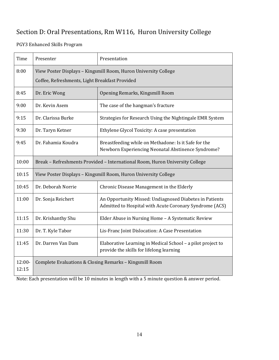## Section D: Oral Presentations, Rm W116, Huron University College

PGY3 Enhanced Skills Program

| Time              | Presenter                                                                                                         | Presentation                                                                                                       |
|-------------------|-------------------------------------------------------------------------------------------------------------------|--------------------------------------------------------------------------------------------------------------------|
| 8:00              | View Poster Displays - Kingsmill Room, Huron University College<br>Coffee, Refreshments, Light Breakfast Provided |                                                                                                                    |
| 8:45              | Dr. Eric Wong                                                                                                     | Opening Remarks, Kingsmill Room                                                                                    |
| 9:00              | Dr. Kevin Asem                                                                                                    | The case of the hangman's fracture                                                                                 |
| 9:15              | Dr. Clarissa Burke                                                                                                | Strategies for Research Using the Nightingale EMR System                                                           |
| 9:30              | Dr. Taryn Ketner                                                                                                  | Ethylene Glycol Toxicity: A case presentation                                                                      |
| 9:45              | Dr. Fahamia Koudra                                                                                                | Breastfeeding while on Methadone: Is it Safe for the<br>Newborn Experiencing Neonatal Abstinence Syndrome?         |
| 10:00             | Break - Refreshments Provided - International Room, Huron University College                                      |                                                                                                                    |
| 10:15             | View Poster Displays - Kingsmill Room, Huron University College                                                   |                                                                                                                    |
| 10:45             | Dr. Deborah Norrie                                                                                                | Chronic Disease Management in the Elderly                                                                          |
| 11:00             | Dr. Sonja Reichert                                                                                                | An Opportunity Missed: Undiagnosed Diabetes in Patients<br>Admitted to Hospital with Acute Coronary Syndrome (ACS) |
| 11:15             | Dr. Krishanthy Shu                                                                                                | Elder Abuse in Nursing Home - A Systematic Review                                                                  |
| 11:30             | Dr. T. Kyle Tabor                                                                                                 | Lis-Franc Joint Dislocation: A Case Presentation                                                                   |
| 11:45             | Dr. Darren Van Dam                                                                                                | Elaborative Learning in Medical School - a pilot project to<br>provide the skills for lifelong learning            |
| $12:00-$<br>12:15 |                                                                                                                   | Complete Evaluations & Closing Remarks - Kingsmill Room                                                            |

Note: Each presentation will be 10 minutes in length with a 5 minute question & answer period.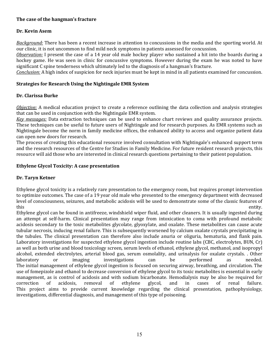#### **The case of the hangman's fracture**

#### **Dr. Kevin Asem**

*Background:* There has been a recent increase in attention to concussions in the media and the sporting world. At our clinic, it is not uncommon to find mild neck symptoms in patients assessed for concussion.

*Observation:* I present the case of a 14 year old male hockey player who sustained a hit into the boards during a hockey game. He was seen in clinic for concussive symptoms. However during the exam he was noted to have significant C spine tenderness which ultimately led to the diagnosis of a hangman's fracture.

*Conclusion:* A high index of suspicion for neck injuries must be kept in mind in all patients examined for concussion.

#### **Strategies for Research Using the Nightingale EMR System**

#### **Dr. Clarissa Burke**

*Objective:* A medical education project to create a reference outlining the data collection and analysis strategies that can be used in conjunction with the Nightingale EMR system.

*Key messages:* Data extraction techniques can be used to enhance chart reviews and quality assurance projects. These techniques can be useful to future users of Nightingale and for research purposes. As EMR systems such as Nightingale become the norm in family medicine offices, the enhanced ability to access and organize patient data can open new doors for research.

The process of creating this educational resource involved consultation with Nightingale's enhanced support term and the research resources of the Centre for Studies in Family Medicine. For future resident research projects, this resource will aid those who are interested in clinical research questions pertaining to their patient population.

#### **Ethylene Glycol Toxicity: A case presentation**

#### **Dr. Taryn Ketner**

Ethylene glycol toxicity is a relatively rare presentation to the emergency room, but requires prompt intervention to optimize outcomes. The case of a 19 year old male who presented to the emergency department with decreased level of consciousness, seizures, and metabolic acidosis will be used to demonstrate some of the classic features of this entity.

Ethylene glycol can be found in antifreeze, windshield wiper fluid, and other cleaners. It is usually ingested during an attempt at self‐harm. Clinical presentation may range from intoxication to coma with profound metabolic acidosis secondary to the toxic metabolites glycolate, glyoxylate, and oxalate. These metabolites can cause acute tubular necrosis, inducing renal failure. This is subsequently worsened by calcium oxalate crystals precipitating in the tubules. The clinical presentation can therefore also include anuria or oliguria, hematuria, and flank pain. Laboratory investigations for suspected ethylene glycol ingestion include routine labs (CBC, electrolytes, BUN, Cr) as well as both urine and blood toxicology screen, serum levels of ethanol, ethylene glycol, methanol, and isopropyl alcohol, extended electrolytes, arterial blood gas, serum osmolality, and urinalysis for oxalate crystals. . Other laboratory or imaging investigations can be performed as needed. The initial management of ethylene glycol ingestion is focused on securing airway, breathing, and circulation. The use of fomepizole and ethanol to decrease conversion of ethylene glycol to its toxic metabolites is essential in early management, as is control of acidosis and with sodium bicarbonate. Hemodialysis may be also be required for correction of acidosis, removal of ethylene glycol, and in cases of renal failure. This project aims to provide current knowledge regarding the clinical presentation, pathophysiology, investigations, differential diagnosis, and management of this type of poisoning.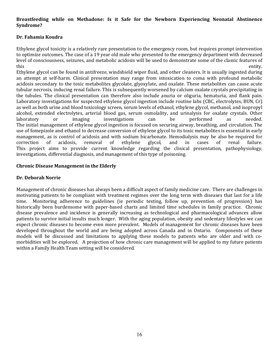#### **Breastfeeding while on Methadone: Is it Safe for the Newborn Experiencing Neonatal Abstinence Syndrome?**

#### **Dr. Fahamia Koudra**

Ethylene glycol toxicity is a relatively rare presentation to the emergency room, but requires prompt intervention to optimize outcomes. The case of a 19 year old male who presented to the emergency department with decreased level of consciousness, seizures, and metabolic acidosis will be used to demonstrate some of the classic features of this entity.

Ethylene glycol can be found in antifreeze, windshield wiper fluid, and other cleaners. It is usually ingested during an attempt at self‐harm. Clinical presentation may range from intoxication to coma with profound metabolic acidosis secondary to the toxic metabolites glycolate, glyoxylate, and oxalate. These metabolites can cause acute tubular necrosis, inducing renal failure. This is subsequently worsened by calcium oxalate crystals precipitating in the tubules. The clinical presentation can therefore also include anuria or oliguria, hematuria, and flank pain. Laboratory investigations for suspected ethylene glycol ingestion include routine labs (CBC, electrolytes, BUN, Cr) as well as both urine and blood toxicology screen, serum levels of ethanol, ethylene glycol, methanol, and isopropyl alcohol, extended electrolytes, arterial blood gas, serum osmolality, and urinalysis for oxalate crystals. Other laboratory or imaging investigations can be performed as needed. The initial management of ethylene glycol ingestion is focused on securing airway, breathing, and circulation. The use of fomepizole and ethanol to decrease conversion of ethylene glycol to its toxic metabolites is essential in early management, as is control of acidosis and with sodium bicarbonate. Hemodialysis may be also be required for correction of acidosis, removal of ethylene glycol, and in cases of renal failure. This project aims to provide current knowledge regarding the clinical presentation, pathophysiology, investigations, differential diagnosis, and management of this type of poisoning.

#### **Chronic Disease Management in the Elderly**

#### **Dr. Deborah Norrie**

Management of chronic diseases has always been a difficult aspect of family medicine care. There are challenges in motivating patients to be compliant with treatment regimes over the long term with diseases that last for a life time. Monitoring adherence to guidelines (ie periodic testing, follow up, prevention of progression) has historically been burdensome with paper-based charts and limited time schedules in family practice. Chronic disease prevalence and incidence is generally increasing as technological and pharmacological advances allow patients to survive initial insults much longer. With the aging population, obesity and sedentary lifestyles we can expect chronic diseases to become even more prevalent. Models of management for chronic diseases have been developed throughout the world and are being adopted across Canada and in Ontario. Components of these models will be discussed and limitations to applying these models to patients who are older and with comorbidities will be explored. A projection of how chronic care management will be applied to my future patients within a Family Health Team setting will be considered.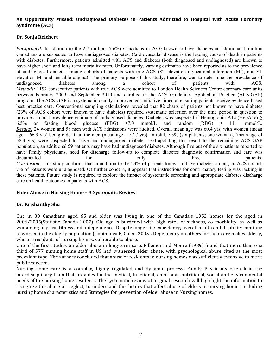#### **An Opportunity Missed: Undiagnosed Diabetes in Patients Admitted to Hospital with Acute Coronary Syndrome (ACS)**

#### **Dr. Sonja Reichert**

*Background:* In addition to the 2.7 million (7.6%) Canadians in 2010 known to have diabetes an additional 1 million Canadians are suspected to have undiagnosed diabetes. Cardiovascular disease is the leading cause of death in patients with diabetes. Furthermore, patients admitted with ACS and diabetes (both diagnosed and undiagnosed) are known to have higher short and long term mortality rates. Unfortunately, varying estimates have been reported as to the prevalence of undiagnosed diabetes among cohorts of patients with true ACS (ST elevation myocardial infarction (MI), non ST elevation MI and unstable angina). The primary purpose of this study, therefore, was to determine the prevalence of undiagnosed diabetes among a cohort of patients with ACS. *Methods:* 1192 consecutive patients with true ACS were admitted to London Health Sciences Centre coronary care units between February 2009 and September 2010 and enrolled in the ACS Guidelines Applied in Practice (ACS-GAP) program. The ACS-GAP is a systematic quality improvement initiative aimed at ensuring patients receive evidence-based best practice care. Conventional sampling calculations revealed that 82 charts of patients not known to have diabetes (23% of ACS cohort were known to have diabetes) required systematic selection over the time period in question to provide a robust prevalence estimate of undiagnosed diabetes. Diabetes was suspected if Hemoglobin A1c (HgbA1c)  $\geq$ 6.5% or fasting blood glucose (FBG)  $\geq$  7.0 mmol/L and random (RBG)  $\geq$  11.1 mmol/L. *Results:* 24 women and 58 men with ACS admissions were audited. Overall mean age was 60.4 yrs, with women (mean age = 66.9 yrs) being older than the men (mean age = 57.7 yrs). In total,  $7.3\%$  (six patients, one woman), (mean age of 58.3 yrs) were suspected to have had undiagnosed diabetes. Extrapolating this result to the remaining ACS-GAP population, an additional 59 patients may have had undiagnosed diabetes. Although five out of the six patients reported to have family physicians, need for discharge follow-up to complete diabetes diagnostic confirmation and care was documented for for only three patients. *Conclusion:* This study confirms that in addition to the 23% of patients known to have diabetes among an ACS cohort, 7% of patients were undiagnosed. Of further concern, it appears that instructions for confirmatory testing was lacking in these patients. Future study is required to explore the impact of systematic screening and appropriate diabetes discharge care on health outcomes in patients with ACS.

#### **Elder Abuse in Nursing Home – A Systematic Review**

#### **Dr. Krishanthy Shu**

One in 30 Canadians aged 65 and older was living in one of the Canada's 1952 homes for the aged in 2004/2005(Statistic Canada 2007). Old age is burdened with high rates of sickness, co morbidity, as well as worsening physical fitness and independence. Despite longer life expectancy, overall health and disability continue to worsen in the elderly population (Topinkova E, Galen, 2005). Dependency on others for their care makes elderly, who are residents of nursing homes, vulnerable to abuse.

One of the first studies on elder abuse in long‐term care, Pillemer and Moore (1989) found that more than one third of 577 nursing home staff in US had witnessed elder abuse, with psychological abuse cited as the most prevalent type. The authors concluded that abuse of residents in nursing homes was sufficiently extensive to merit public concern.

Nursing home care is a complex, highly regulated and dynamic process. Family Physicians often lead the interdisciplinary team that provides for the medical, functional, emotional, nutritional, social and environmental needs of the nursing home residents. The systematic review of original research will high light the information to recognize the abuse or neglect, to understand the factors that affect abuse of elders in nursing homes including nursing home characteristics and Strategies for prevention of elder abuse in Nursing homes.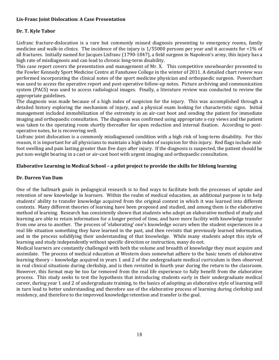#### **Lis‐Franc Joint Dislocation: A Case Presentation**

#### **Dr. T. Kyle Tabor**

Lisfranc fracture-dislocation is a rare but commonly missed diagnosis presenting to emergency rooms, family medicine and walk-in clinics. The incidence of the injury is 1/55000 persons per year and it accounts for <1% of all fractures. Initially named for Jacques Lisfranc (1790‐1847), a field surgeon in Napoleon's army, this injury has a high rate of misdiagnosis and can lead to chronic long-term disability.

This case report covers the presentation and management of Mr. X. This competitive snowboarder presented to the Fowler Kennedy Sport Medicine Centre at Fanshawe College in the winter of 2011. A detailed chart review was performed incorporating the clinical notes of the sport medicine physician and orthopaedic surgeon. Powerchart was used to access the operative report and post-operative follow-up notes. Picture archiving and communication system (PACS) was used to access radiological images. Finally, a literature review was conducted to review the appropriate guidelines.

The diagnosis was made because of a high index of suspicion for the injury. This was accomplished through a detailed history exploring the mechanism of injury, and a physical exam looking for characteristic signs. Initial management included immobilization of the extremity in an air‐cast boot and sending the patient for immediate imaging and orthopaedic consultation. The diagnosis was confirmed using appropriate x-ray views and the patient was taken to the operating room shortly thereafter for open reduction and internal fixation. According to postoperative notes, he is recovering well.

Lisfranc joint dislocation is a commonly misdiagnosed condition with a high risk of long-term disability. For this reason, it is important for all physicians to maintain a high index of suspicion for this injury. Red flags include mid‐ foot swelling and pain lasting greater than five days after injury. If the diagnosis is suspected, the patient should be put non-weight bearing in a cast or air-cast boot with urgent imaging and orthopaedic consultation.

#### **Elaborative Learning in Medical School – a pilot project to provide the skills for lifelong learning**

#### **Dr. Darren Van Dam**

One of the hallmark goals in pedagogical research is to find ways to facilitate both the processes of uptake and retention of new knowledge in learners. Within the realm of medical education, an additional purpose is to help students' ability to transfer knowledge acquired from the original context in which it was learned into different contexts. Many different theories of learning have been proposed and studied, and among them is the elaborative method of learning. Research has consistently shown that students who adopt an elaborative method of study and learning are able to retain information for a longer period of time, and have more facility with knowledge transfer from one area to another. The process of 'elaborating' one's knowledge occurs when the student experiences in a real life situation something they have learned in the past, and then revisits that previously learned information, and in the process solidifying their understanding of that knowledge. While many students adopt this style of learning and study independently without specific direction or instruction, many do not.

Medical learners are constantly challenged with both the volume and breadth of knowledge they must acquire and assimilate. The process of medical education at Western does somewhat adhere to the basic tenets of elaborative learning theory – knowledge acquired in years 1 and 2 of the undergraduate medical curriculum is then observed in real clinical situations during clerkship, and is then revisited in fourth year during the return to the classroom. However, this format may be too far removed from the real life experience to fully benefit from the elaborative process. This study seeks to test the hypothesis that introducing students early in their undergraduate medical career, during year 1 and 2 of undergraduate training, to the basics of adopting an elaborative style of learning will in turn lead to better understanding and therefore use of the elaborative process of learning during clerkship and residency, and therefore to the improved knowledge retention and transfer is the goal.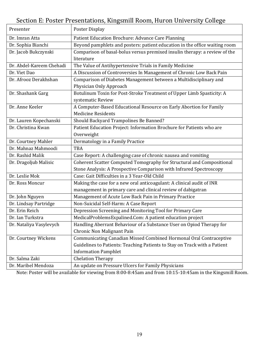## Section E: Poster Presentations, Kingsmill Room, Huron University College

| Presenter                | Poster Display                                                             |
|--------------------------|----------------------------------------------------------------------------|
| Dr. Imran Atta           | Patient Education Brochure: Advance Care Planning                          |
| Dr. Sophia Bianchi       | Beyond pamphlets and posters: patient education in the office waiting room |
| Dr. Jacob Bukczynski     | Comparison of basal-bolus versus premixed insulin therapy: a review of the |
|                          | literature                                                                 |
| Dr. Abdel-Kareem Chehadi | The Value of Antihypertensive Trials in Family Medicine                    |
| Dr. Viet Dao             | A Discussion of Controversies In Management of Chronic Low Back Pain       |
| Dr. Afrooz Derakhshan    | Comparison of Diabetes Management between a Multidisciplinary and          |
|                          | Physician Only Approach                                                    |
| Dr. Shashank Garg        | Botulinum Toxin for Post-Stroke Treatment of Upper Limb Spasticity: A      |
|                          | systematic Review                                                          |
| Dr. Anne Keeler          | A Computer-Based Educational Resource on Early Abortion for Family         |
|                          | <b>Medicine Residents</b>                                                  |
| Dr. Lauren Kopechanski   | Should Backyard Trampolines Be Banned?                                     |
| Dr. Christina Kwan       | Patient Education Project: Information Brochure for Patients who are       |
|                          | Overweight                                                                 |
| Dr. Courtney Mahler      | Dermatology in a Family Practice                                           |
| Dr. Mahnaz Mahmoodi      | <b>TBA</b>                                                                 |
| Dr. Rashid Malik         | Case Report: A challenging case of chronic nausea and vomiting             |
| Dr. Dragoljub Malisic    | Coherent Scatter Computed Tomography for Structural and Compositional      |
|                          | Stone Analysis: A Prospective Comparison with Infrared Spectroscopy        |
| Dr. Leslie Mok           | Case: Gait Difficulties in a 3 Year-Old Child                              |
| Dr. Ross Moncur          | Making the case for a new oral anticoagulant: A clinical audit of INR      |
|                          | management in primary care and clinical review of dabigatran               |
| Dr. John Nguyen          | Management of Acute Low Back Pain in Primary Practice                      |
| Dr. Lindsay Partridge    | Non-Suicidal Self-Harm: A Case Report                                      |
| Dr. Erin Reich           | Depression Screening and Monitoring Tool for Primary Care                  |
| Dr. Ian Turkstra         | MedicalProblemsExpalined.Com: A patient education project                  |
| Dr. Nataliya Vasylevych  | Handling Aberrant Behaviour of a Substance User on Opiod Therapy for       |
|                          | Chronic Non Malignant Pain                                                 |
| Dr. Courtney Wickens     | Communicating Canadian Missed Combined Hormonal Oral Contraceptive         |
|                          | Guidelines to Patients: Teaching Patients to Stay on Track with a Patient  |
|                          | <b>Information Pamphlet</b>                                                |
| Dr. Salma Zaki           | <b>Chelation Therapy</b>                                                   |
| Dr. Maribel Mendoza      | An update on Pressure Ulcers for Family Physicians                         |

Note: Poster will be available for viewing from 8:00‐8:45am and from 10:15‐10:45am in the Kingsmill Room.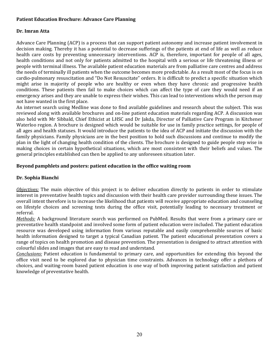#### **Patient Education Brochure: Advance Care Planning**

#### **Dr. Imran Atta**

Advance Care Planning (ACP) is a process that can support patient autonomy and increase patient involvement in decision making. Thereby it has a potential to decrease sufferings of the patients at end of life as well as reduce health care costs by preventing unnecessary interventions. ACP is, therefore, important for people of all ages, health conditions and not only for patients admitted to the hospital with a serious or life threatening illness or people with terminal illness. The available patient education materials are from palliative care centres and address the needs of terminally ill patients when the outcome becomes more predictable. As a result most of the focus is on cardio‐pulmonary resuscitation and "Do Not Resuscitate" orders. It is difficult to predict a specific situation which might arise in majority of people who are healthy or even when they have chronic and progressive health conditions. These patients then fail to make choices which can affect the type of care they would need if an emergency arises and they are unable to express their wishes. This can lead to interventions which the person may not have wanted in the first place.

An internet search using Medline was done to find available guidelines and research about the subject. This was reviewed along with available brochures and on-line patient education materials regarding ACP. A discussion was also held with Mr Sibbald, Chief Ethicist at LHSC and Dr Jakda, Director of Palliative Care Program in Kitchener Waterloo region. A brochure is designed which would be suitable for use in family practice settings, for people of all ages and health statuses. It would introduce the patients to the idea of ACP and initiate the discussion with the family physicians. Family physicians are in the best position to hold such discussions and continue to modify the plan in the light of changing health condition of the clients. The brochure is designed to guide people step wise in making choices in certain hypothetical situations, which are most consistent with their beliefs and values. The general principles established can then be applied to any unforeseen situation later.

#### **Beyond pamphlets and posters: patient education in the office waiting room**

#### **Dr. Sophia Bianchi**

*Objectives:* The main objective of this project is to deliver education directly to patients in order to stimulate interest in preventative health topics and discussion with their health care provider surrounding these issues. The overall intent therefore is to increase the likelihood that patients will receive appropriate education and counseling on lifestyle choices and screening tests during the office visit, potentially leading to necessary treatment or referral.

*Methods:* A background literature search was performed on PubMed. Results that were from a primary care or preventative health standpoint and involved some form of patient education were included. The patient education resource was developed using information from various reputable and easily comprehensible sources of basic health information designed to target a typical Canadian patient. The patient educational presentation covers a range of topics on health promotion and disease prevention. The presentation is designed to attract attention with colourful slides and images that are easy to read and understand.

*Conclusions:* Patient education is fundamental to primary care, and opportunities for extending this beyond the office visit need to be explored due to physician time constraints. Advances in technology offer a plethora of choices, and waiting‐room based patient education is one way of both improving patient satisfaction and patient knowledge of preventative health.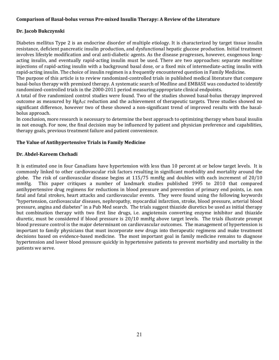#### **Comparison of Basal‐bolus versus Pre‐mixed Insulin Therapy: A Review of the Literature**

#### **Dr. Jacob Bukczynski**

Diabetes mellitus Type 2 is an endocrine disorder of multiple etiology. It is characterized by target tissue insulin resistance, deficient pancreatic insulin production, and dysfunctional hepatic glucose production. Initial treatment involves lifestyle modification and oral anti-diabetic agents. As the disease progresses, however, exogenous longacting insulin, and eventually rapid‐acting insulin must be used. There are two approaches: separate mealtime injections of rapid‐acting insulin with a background basal dose, or a fixed mix of intermediate‐acting insulin with rapid‐acting insulin. The choice of insulin regimen is a frequently encountered question in Family Medicine.

The purpose of this article is to review randomized‐controlled trials in published medical literature that compare basal‐bolus therapy with premixed therapy. A systematic search of Medline and EMBASE was conducted to identify randomized-controlled trials in the 2000-2011 period measuring appropriate clinical endpoints.

A total of five randomized control studies were found. Two of the studies showed basal‐bolus therapy improved outcome as measured by  $HgA_1c$  reduction and the achievement of therapeutic targets. Three studies showed no significant difference, however two of these showed a non-significant trend of improved results with the basalbolus approach.

In conclusion, more research is necessary to determine the best approach to optimizing therapy when basal insulin in not enough. For now, the final decision may be influenced by patient and physician preference and capabilities, therapy goals, previous treatment failure and patient convenience.

#### **The Value of Antihypertensive Trials in Family Medicine**

#### **Dr. Abdel‐Kareem Chehadi**

It is estimated one in four Canadians have hypertension with less than 10 percent at or below target levels. It is commonly linked to other cardiovascular risk factors resulting in significant morbidity and mortality around the globe. The risk of cardiovascular disease begins at 115/75 mmHg and doubles with each increment of 20/10 mmHg. This paper critiques a number of landmark studies published 1995 to 2010 that compared antihypertensive drug regimens for reductions in blood pressure and prevention of primary end points, i.e. non fatal and fatal strokes, heart attacks and cardiovascular events. They were found using the following keywords "hypertension, cardiovascular diseases, nephropathy, myocardial infarction, stroke, blood pressure, arterial blood pressure, angina and diabetes" in a Pub Med search. The trials suggest thiazide diuretics be used as initial therapy but combination therapy with two first line drugs, i.e. angiotensin converting enzyme inhibitor and thiazide diuretic, must be considered if blood pressure is 20/10 mmHg above target levels. The trials illustrate prompt blood pressure control is the major determinant on cardiovascular outcomes. The management of hypertension is important to family physicians that must incorporate new drugs into therapeutic regimens and make treatment decisions based on evidence-based medicine. The most important goal in family medicine remains to diagnose hypertension and lower blood pressure quickly in hypertensive patients to prevent morbidity and mortality in the patients we serve.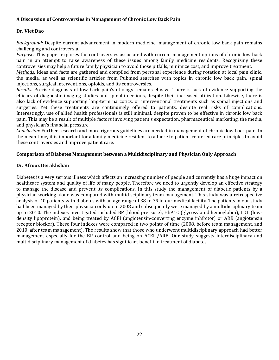#### **A Discussion of Controversies in Management of Chronic Low Back Pain**

#### **Dr. Viet Dao**

*Background:* Despite current advancement in modern medicine, management of chronic low back pain remains challenging and controversial.

*Purpose:* This paper explores the controversies associated with current management options of chronic low back pain in an attempt to raise awareness of these issues among family medicine residents. Recognizing these controversies may help a future family physician to avoid those pitfalls, minimize cost, and improve treatment.

*Methods:* Ideas and facts are gathered and compiled from personal experience during rotation at local pain clinic, the media, as well as scientific articles from Pubmed searches with topics in chronic low back pain, spinal injections, surgical interventions, opioids, and its controversies.

*Results:* Precise diagnosis of low back pain's etiology remains elusive. There is lack of evidence supporting the efficacy of diagnostic imaging studies and spinal injections, despite their increased utilization. Likewise, there is also lack of evidence supporting long‐term narcotics, or interventional treatments such as spinal injections and surgeries. Yet these treatments are continuingly offered to patients, despite real risks of complications. Interestingly, use of allied health professionals is still minimal, despite proven to be effective in chronic low back pain. This may be a result of multiple factors involving patient's expectation, pharmaceutical marketing, the media, and physician's financial pressure.

*Conclusion:* Further research and more rigorous guidelines are needed in management of chronic low back pain. In the mean time, it is important for a family medicine resident to adhere to patient‐centered care principles to avoid these controversies and improve patient care.

#### **Comparison of Diabetes Management between a Multidisciplinary and Physician Only Approach**

#### **Dr. Afrooz Derakhshan**

Diabetes is a very serious illness which affects an increasing number of people and currently has a huge impact on healthcare system and quality of life of many people. Therefore we need to urgently develop an effective strategy to manage the disease and prevent its complications. In this study the management of diabetic patients by a physician working alone was compared with multidisciplinary team management. This study was a retrospective analysis of 40 patients with diabetes with an age range of 38 to 79 in our medical facility. The patients in our study had been managed by their physician only up to 2008 and subsequently were managed by a multidisciplinary team up to 2010. The indexes investigated included BP (blood pressure), HbA1C (glycosylated hemoglobin), LDL (low‐ density lipoprotein), and being treated by ACEI (angiotensin‐converting enzyme inhibitor) or ARB (angiotensin receptor blocker). These four indexes were compared in two points of time (2008, before team management, and 2010, after team management). The results show that those who underwent multidisciplinary approach had better management especially for the BP control and being on ACEI /ARB. Our study suggests interdisciplinary and multidisciplinary management of diabetes has significant benefit in treatment of diabetes.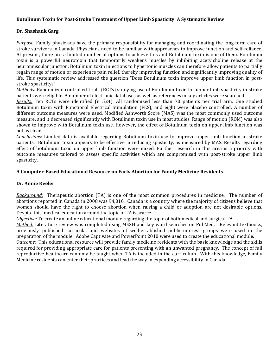#### **Botulinum Toxin for Post‐Stroke Treatment of Upper Limb Spasticity: A Systematic Review**

#### **Dr. Shashank Garg**

*Purpose:* Family physicians have the primary responsibility for managing and coordinating the long-term care of stroke survivors in Canada. Physicians need to be familiar with approaches to improve function and self‐reliance. At present, there are a limited number of options to achieve this and Botulinum toxin is one of them. Botulinum toxin is a powerful neurotoxin that temporarily weakens muscles by inhibiting acetylcholine release at the neuromuscular junction. Botulinum toxin injections to hypertonic muscles can therefore allow patients to partially regain range of motion or experience pain relief, thereby improving function and significantly improving quality of life. This systematic review addressed the question "Does Botulinum toxin improve upper limb function in poststroke spasticity?"

*Methods:* Randomized controlled trials (RCTs) studying use of Botulinum toxin for upper limb spasticity in stroke patients were eligible. A number of electronic databases as well as references in key articles were searched.

*Results:* Ten RCTs were identified (n=524). All randomized less than 70 patients per trial arm. One studied Botulinum toxin with Functional Electrical Stimulation (FES), and eight were placebo controlled. A number of different outcome measures were used. Modified Ashworth Score (MAS) was the most commonly used outcome measure, and it decreased significantly with Botulinum toxin use in most studies. Range of motion (ROM) was also shown to improve with Botulinum toxin use. However, the effect of Botulinum toxin on upper limb function was not as clear.

*Conclusions:* Limited data is available regarding Botulinum toxin use to improve upper limb function in stroke patients. Botulinum toxin appears to be effective in reducing spasticity, as measured by MAS. Results regarding effect of botulinum toxin on upper limb function were mixed. Further research in this area is a priority with outcome measures tailored to assess specific activities which are compromised with post‐stroke upper limb spasticity.

#### **A Computer‐Based Educational Resource on Early Abortion for Family Medicine Residents**

#### **Dr. Annie Keeler**

*Background:* Therapeutic abortion (TA) is one of the most common procedures in medicine. The number of abortions reported in Canada in 2008 was 94,010. Canada is a country where the majority of citizens believe that women should have the right to choose abortion when raising a child or adoption are not desirable options. Despite this, medical education around the topic of TA is scarce.

*Objective:* To create an online educational module regarding the topic of both medical and surgical TA.

*Method:* Literature review was completed using MESH and key word searches on PubMed. Relevant textbooks, previously published curricula, and websites of well‐established public‐interest groups were used in the preparation of the module. Adobe Captivate and PowerPoint 2010 were used to create the educational module.

*Outcome:* This educational resource will provide family medicine residents with the basic knowledge and the skills required for providing appropriate care for patients presenting with an unwanted pregnancy. The concept of full reproductive healthcare can only be taught when TA is included in the curriculum. With this knowledge, Family Medicine residents can enter their practices and lead the way in expanding accessibility in Canada.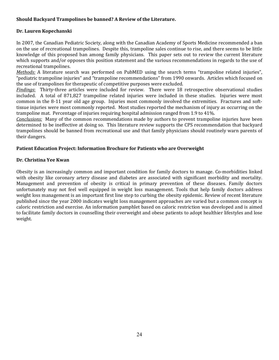#### **Should Backyard Trampolines be banned? A Review of the Literature.**

#### **Dr. Lauren Kopechanski**

In 2007, the Canadian Pediatric Society, along with the Canadian Academy of Sports Medicine recommended a ban on the use of recreational trampolines. Despite this, trampoline sales continue to rise, and there seems to be little knowledge of this proposed ban among family physicians. This paper sets out to review the current literature which supports and/or opposes this position statement and the various recommendations in regards to the use of recreational trampolines.

*Methods:* A literature search was performed on PubMED using the search terms "trampoline related injuries", "pediatric trampoline injuries" and "trampoline recommendations" from 1990 onwards. Articles which focused on the use of trampolines for therapeutic of competitive purposes were excluded.

*Findings*: Thirty-three articles were included for review. There were 18 retrospective observational studies included. A total of 871,827 trampoline related injuries were included in these studies. Injuries were most common in the 8-11 year old age group. Injuries most commonly involved the extremities. Fractures and softtissue injuries were most commonly reported. Most studies reported the mechanism of injury as occurring on the trampoline mat. Percentage of injuries requiring hospital admission ranged from 1.9 to 41%.

*Conclusions:* Many of the common recommendations made by authors to prevent trampoline injuries have been determined to be ineffective at doing so. This literature review supports the CPS recommendation that backyard trampolines should be banned from recreational use and that family physicians should routinely warn parents of their dangers.

#### **Patient Education Project: Information Brochure for Patients who are Overweight**

#### **Dr. Christina Yee Kwan**

Obesity is an increasingly common and important condition for family doctors to manage. Co‐morbidities linked with obesity like coronary artery disease and diabetes are associated with significant morbidity and mortality. Management and prevention of obesity is critical in primary prevention of these diseases. Family doctors unfortunately may not feel well equipped in weight loss management. Tools that help family doctors address weight loss management is an important first line step to curbing the obesity epidemic. Review of recent literature published since the year 2000 indicates weight loss management approaches are varied but a common concept is caloric restriction and exercise. An information pamphlet based on caloric restriction was developed and is aimed to facilitate family doctors in counselling their overweight and obese patients to adopt healthier lifestyles and lose weight.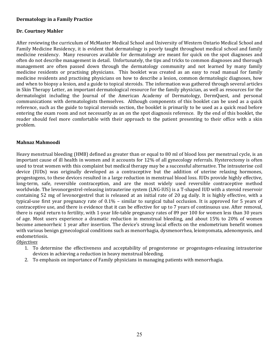#### **Dermatology in a Family Practice**

#### **Dr. Courtney Mahler**

After reviewing the curriculum of McMaster Medical School and University of Western Ontario Medical School and Family Medicine Residency, it is evident that dermatology is poorly taught throughout medical school and family medicine residency. Many resources available for dermatology are meant for quick on the spot diagnoses and often do not describe management in detail. Unfortunately, the tips and tricks to common diagnoses and thorough management are often passed down through the dermatology community and not learned by many family medicine residents or practising physicians. This booklet was created as an easy to read manual for family medicine residents and practising physicians on how to describe a lesion, common dermatologic diagnoses, how and when to biopsy a lesion, and a guide to topical steroids. The information was gathered through several articles in Skin Therapy Letter, an important dermatological resource for the family physician, as well as resources for the dermatologist including the Journal of the American Academy of Dermatology, DermQuest, and personal communications with dermatologists themselves. Although components of this booklet can be used as a quick reference, such as the guide to topical steroids section, the booklet is primarily to be used as a quick read before entering the exam room and not necessarily as an on the spot diagnosis reference. By the end of this booklet, the reader should feel more comfortable with their approach to the patient presenting to their office with a skin problem.

#### **Mahnaz Mahmoodi**

Heavy menstrual bleeding (HMB) defined as greater than or equal to 80 ml of blood loss per menstrual cycle, is an important cause of ill health in women and it accounts for 12% of all gynecology referrals. Hysterectomy is often used to treat women with this complaint but medical therapy may be a successful alternative. The intrauterine coil device (IUDs) was originally developed as a contraceptive but the addition of uterine relaxing hormones, progestogens, to these devices resulted in a large reduction in menstrual blood loss. IUDs provide highly effective, long-term, safe, reversible contraception, and are the most widely used reversible contraceptive method worldwide. The levonorgestrel‐releasing intrauterine system (LNG‐IUS) is a T‐shaped IUD with a steroid reservoir containing 52 mg of levonorgestrel that is released at an initial rate of 20 μg daily. It is highly effective, with a typical-use first year pregnancy rate of 0.1% - similar to surgical tubal occlusion. It is approved for 5 years of contraceptive use, and there is evidence that it can be effective for up to 7 years of continuous use. After removal, there is rapid return to fertility, with 1‐year life‐table pregnancy rates of 89 per 100 for women less than 30 years of age. Most users experience a dramatic reduction in menstrual bleeding, and about 15% to 20% of women become amenorrheic 1 year after insertion. The device's strong local effects on the endometrium benefit women with various benign gynecological conditions such as menorrhagia, dysmenorrhea, leiomyomata, adenomyosis, and endometriosis.

*Objectives*

- 1. To determine the effectiveness and acceptability of progesterone or progestogen‐releasing intrauterine devices in achieving a reduction in heavy menstrual bleeding.
- 2. To emphasis on importance of Family physicians in managing patients with menorrhagia.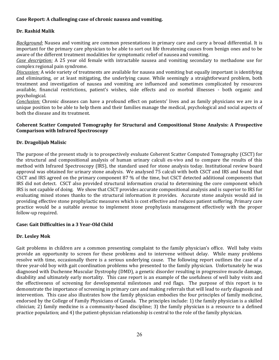#### **Case Report: A challenging case of chronic nausea and vomiting.**

#### **Dr. Rashid Malik**

*Background:* Nausea and vomiting are common presentations in primary care and carry a broad differential. It is important for the primary care physician to be able to sort out life threatening causes from benign ones and to be aware of the different treatment modalities for symptomatic relief of nausea and vomiting.

*Case description:* A 25 year old female with intractable nausea and vomiting secondary to methadone use for complex regional pain syndrome.

*Discussion:* A wide variety of treatments are available for nausea and vomiting but equally important is identifying and eliminating, or at least mitigating, the underlying cause. While seemingly a straightforward problem, both treatment and investigation of nausea and vomiting are influenced and sometimes complicated by resources available, financial restrictions, patient's wishes, side effects and co morbid illnesses ‐ both organic and psychological.

*Conclusion:* Chronic diseases can have a profound effect on patients' lives and as family physicians we are in a unique position to be able to help them and their families manage the medical, psychological and social aspects of both the disease and its treatment.

#### **Coherent Scatter Computed Tomography for Structural and Compositional Stone Analysis: A Prospective Comparison with Infrared Spectroscopy**

#### **Dr. Dragolijub Malisic**

The purpose of the present study is to prospectively evaluate Coherent Scatter Computed Tomography (CSCT) for the structural and compositional analysis of human urinary calculi ex-vivo and to compare the results of this method with Infrared Spectroscopy (IRS), the standard used for stone analysis today. Institutional review board approval was obtained for urinary stone analysis. We analysed 75 calculi with both CSCT and IRS and found that CSCT and IRS agreed on the primary component 87 % of the time, but CSCT detected additional components that IRS did not detect. CSCT also provided structural information crucial to determining the core component which IRS is not capable of doing. We show that CSCT provides accurate compositional analysis and is superior to IRS for evaluating mixed stones thanks to the structural information it provides. Accurate stone analysis would aid in providing effective stone prophylactic measures which is cost effective and reduces patient suffering. Primary care practice would be a suitable avenue to implement stone prophylaxis management effectively with the proper follow‐up required.

#### **Case: Gait Difficulties in a 3 Year‐Old Child**

#### **Dr. Lesley Mok**

Gait problems in children are a common presenting complaint to the family physician's office. Well baby visits provide an opportunity to screen for these problems and to intervene without delay. While many problems resolve with time, occasionally there is a serious underlying cause. The following report outlines the case of a three year-old boy with gait coordination problems who presented to the family physician. Unfortunately he was diagnosed with Duchenne Muscular Dystrophy (DMD), a genetic disorder resulting in progressive muscle damage, disability and ultimately early mortality. This case report is an example of the usefulness of well baby visits and the effectiveness of screening for developmental milestones and red flags. The purpose of this report is to demonstrate the importance of screening in primary care and making referrals that will lead to early diagnosis and intervention. This case also illustrates how the family physician embodies the four principles of family medicine, endorsed by the College of Family Physicians of Canada. The principles include: 1) the family physician is a skilled clinician; 2) family medicine is a community-based discipline; 3) the family physician is a resource to a defined practice population; and 4) the patient‐physician relationship is central to the role of the family physician.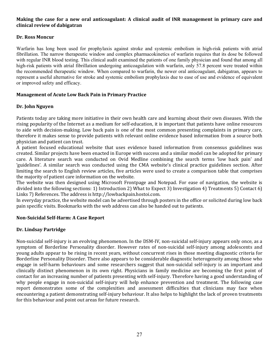#### Making the case for a new oral anticoagulant: A clinical audit of INR management in primary care and **clinical review of dabigatran**

#### **Dr. Ross Moncur**

Warfarin has long been used for prophylaxis against stroke and systemic embolism in high-risk patients with atrial fibrillation. The narrow therapeutic window and complex pharmacokinetics of warfarin requires that its dose be followed with regular INR blood testing. This clinical audit examined the patients of one family physician and found that among all high-risk patients with atrial fibrillation undergoing anticoagulation with warfarin, only 57.8 percent were treated within the recommended therapeutic window. When compared to warfarin, the newer oral anticoagulant, dabigatran, appears to represent a useful alternative for stroke and systemic embolism prophylaxis due to ease of use and evidence of equivalent or improved safety and efficacy.

#### **Management of Acute Low Back Pain in Primary Practice**

#### **Dr. John Nguyen**

Patients today are taking more initiative in their own health care and learning about their own diseases. With the rising popularity of the Internet as a medium for self‐education, it is important that patients have online resources to aide with decision‐making. Low back pain is one of the most common presenting complaints in primary care, therefore it makes sense to provide patients with relevant online evidence based information from a source both physician and patient can trust.

A patient focused educational website that uses evidence based information from consensus guidelines was created. Similar projects have been enacted in Europe with success and a similar model can be adopted for primary care. A literature search was conducted on Ovid Medline combining the search terms 'low back pain' and 'guidelines'. A similar search was conducted using the CMA website's clinical practice guidelines section. After limiting the search to English review articles, five articles were used to create a comparison table that comprises the majority of patient care information on the website.

The website was then designed using Microsoft Frontpage and Notepad. For ease of navigation, the website is divided into the following sections: 1) Introduction 2) What to Expect 3) Investigation 4) Treatments 5) Contact 6) Links 7) References. The address is http://lowbackpain.hostoi.com.

In everyday practice, the website model can be advertised through posters in the office or solicited during low back pain specific visits. Bookmarks with the web address can also be handed out to patients.

#### **Non‐Suicidal Self‐Harm: A Case Report**

#### **Dr. Lindsay Partridge**

Non-suicidal self-injury is an evolving phenomenon. In the DSM-IV, non-suicidal self-injury appears only once, as a symptom of Borderline Personality disorder. However rates of non-suicidal self-injury among adolescents and young adults appear to be rising in recent years, without concurrent rises in those meeting diagnostic criteria for Borderline Personality Disorder. There also appears to be considerable diagnostic heterogeneity among those who engage in self-harm behaviours and some researchers suggest that non-suicidal self-injury is an important and clinically distinct phenomenon in its own right. Physicians in family medicine are becoming the first point of contact for an increasing number of patients presenting with self‐injury. Therefore having a good understanding of why people engage in non-suicidal self-injury will help enhance prevention and treatment. The following case report demonstrates some of the complexities and assessment difficulties that clinicians may face when encountering a patient demonstrating self‐injury behaviour. It also helps to highlight the lack of proven treatments for this behaviour and point out areas for future research.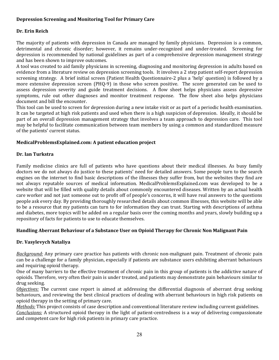#### **Depression Screening and Monitoring Tool for Primary Care**

#### **Dr. Erin Reich**

The majority of patients with depression in Canada are managed by family physicians. Depression is a common, detrimental and chronic disorder; however, it remains under‐recognized and under‐treated. Screening for depression is recommended by national guidelines as part of a comprehensive depression management strategy and has been shown to improve outcomes.

A tool was created to aid family physicians in screening, diagnosing and monitoring depression in adults based on evidence from a literature review on depression screening tools. It involves a 2 step patient self‐report depression screening strategy. A brief initial screen (Patient Health Questionnaire‐2 plus a 'help' question) is followed by a more extensive depression screen (PHQ-9) in those who screen positive. The score generated can be used to assess depression severity and guide treatment decisions. A flow sheet helps physicians assess depressive symptoms, rule out other diagnoses and monitor treatment response. The flow sheet also helps physicians document and bill the encounter.

This tool can be used to screen for depression during a new intake visit or as part of a periodic health examination. It can be targeted at high risk patients and used when there is a high suspicion of depression. Ideally, it should be part of an overall depression management strategy that involves a team approach to depression care. This tool may be helpful to facilitate communication between team members by using a common and standardized measure of the patients' current status.

#### **MedicalProblemsExplained.com: A patient education project**

#### **Dr. Ian Turkstra**

Family medicine clinics are full of patients who have questions about their medical illnesses. As busy family doctors we do not always do justice to these patients' need for detailed answers. Some people turn to the search engines on the internet to find basic descriptions of the illnesses they suffer from, but the websites they find are not always reputable sources of medical information. MedicalProblemsExplained.com was developed to be a website that will be filled with quality details about commonly encountered diseases. Written by an actual health care worker and not just someone out to profit off of people's concerns, it will have real answers to the questions people ask every day. By providing thoroughly researched details about common illnesses, this website will be able to be a resource that my patients can turn to for information they can trust. Starting with descriptions of asthma and diabetes, more topics will be added on a regular basis over the coming months and years, slowly building up a repository of facts for patients to use to educate themselves.

#### **Handling Aberrant Behaviour of a Substance User on Opioid Therapy for Chronic Non Malignant Pain**

#### **Dr. Vasylevych Nataliya**

*Background:* Any primary care practice has patients with chronic non-malignant pain. Treatment of chronic pain can be a challenge for a family physician, especially if patients are substance users exhibiting aberrant behaviours and requiring opioid therapy.

One of many barriers to the effective treatment of chronic pain in this group of patients is the addictive nature of opioids. Therefore, very often their pain is under treated, and patients may demonstrate pain behaviours similar to drug seeking.

*Objectives:* The current case report is aimed at addressing the differential diagnosis of aberrant drug seeking behaviours, and reviewing the best clinical practices of dealing with aberrant behaviours in high risk patients on opioid therapy in the setting of primary care.

*Methods:* This project consists of case description and conventional literature review including current guidelines. *Conclusions:* A structured opioid therapy in the light of patient‐centredness is a way of delivering compassionate and competent care for high risk patients in primary care practice.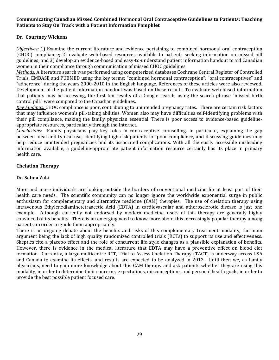#### **Communicating Canadian Missed Combined Hormonal Oral Contraceptive Guidelines to Patients: Teaching Patients to Stay On Track with a Patient Information Pamphlet**

#### **Dr. Courtney Wickens**

*Objectives:* 1) Examine the current literature and evidence pertaining to combined hormonal oral contraception (CHOC) compliance; 2) evaluate web‐based resources available to patients seeking information on missed pill guidelines; and 3) develop an evidence‐based and easy‐to‐understand patient information handout to aid Canadian women in their compliance through communication of missed CHOC guidelines.

*Methods:* A literature search was performed using computerized databases Cochrane Central Register of Controlled Trials, EMBASE and PUBMED using the key terms: "combined hormonal contraception", "oral contraceptives" and "adherence" during the years 2000‐2010 in the English language. References of these articles were also reviewed. Development of the patient information handout was based on these results. To evaluate web-based information that patients may be accessing, the first ten results of a Google search, using the search phrase "missed birth control pill," were compared to the Canadian guidelines.

*Key Findings:* CHOC compliance is poor, contributing to unintended pregnancy rates. There are certain risk factors that may influence women's pill‐taking abilities. Women also may have difficulties self‐identifying problems with their pill compliance, making the family physician essential. There is poor access to evidence-based guidelineappropriate resources, particularly through the Internet.

*Conclusions:* Family physicians play key roles in contraceptive counselling. In particular, explaining the gap between ideal and typical use, identifying high‐risk patients for poor compliance, and discussing guidelines may help reduce unintended pregnancies and its associated complications. With all the easily accessible misleading information available, a guideline‐appropriate patient information resource certainly has its place in primary health care.

#### **Chelation Therapy**

#### **Dr. Salma Zaki**

More and more individuals are looking outside the borders of conventional medicine for at least part of their health care needs. The scientific community can no longer ignore the worldwide exponential surge in public enthusiasm for complementary and alternative medicine (CAM) therapies. The use of chelation therapy using intravenous Ethylenediaminetetraacetic Acid (EDTA) in cardiovascular and atherosclerotic disease is just one example. Although currently not endorsed by modern medicine, users of this therapy are generally highly convinced of its benefits. There is an emerging need to know more about this increasingly popular therapy among patients, in order to guide them appropriately.

There is an ongoing debate about the benefits and risks of this complementary treatment modality, the main argument being the lack of high quality randomized controlled trials (RCTs) to support its use and effectiveness. Skeptics cite a placebo effect and the role of concurrent life style changes as a plausible explanation of benefits. However, there is evidence in the medical literature that EDTA may have a preventive effect on blood clot formation. Currently, a large multicentre RCT, Trial to Assess Chelation Therapy (TACT) is underway across USA and Canada to examine its effects, and results are expected to be analyzed in 2012. Until then we, as family physicians, need to gain more knowledge about this CAM therapy and ask patients whether they are using this modality, in order to determine their concerns, expectations, misconceptions, and personal health goals, in order to provide the best possible patient focused care.